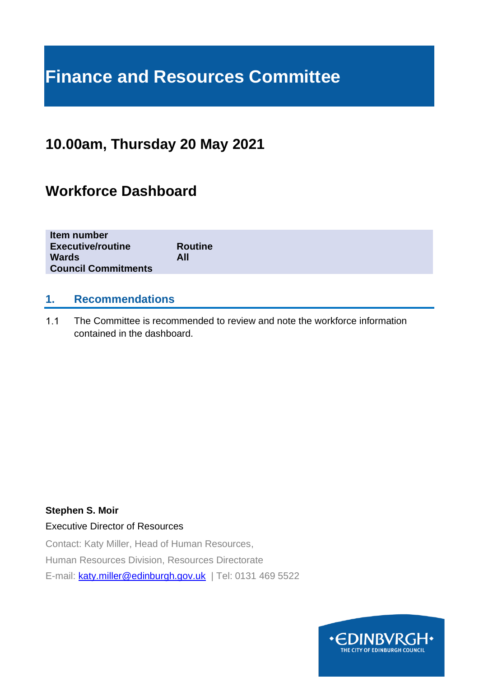# **Finance and Resources Committee**

# **10.00am, Thursday 20 May 2021**

# **Workforce Dashboard**

| Item number<br><b>Executive/routine</b>    | <b>Routine</b> |
|--------------------------------------------|----------------|
| <b>Wards</b><br><b>Council Commitments</b> | All            |
|                                            |                |

# **1. Recommendations**

 $1.1$ The Committee is recommended to review and note the workforce information contained in the dashboard.

## **Stephen S. Moir**

## Executive Director of Resources

Contact: Katy Miller, Head of Human Resources, Human Resources Division, Resources Directorate E-mail: [katy.miller@edinburgh.gov.uk](mailto:katy.miller@edinburgh.gov.uk) | Tel: 0131 469 5522

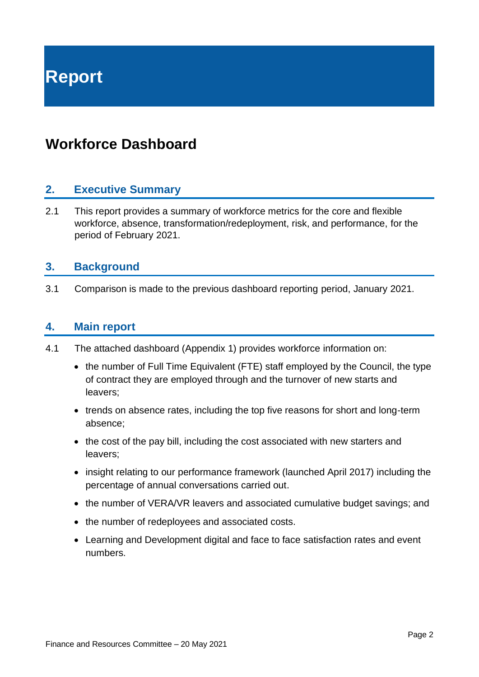**Report**

# **Workforce Dashboard**

# **2. Executive Summary**

2.1 This report provides a summary of workforce metrics for the core and flexible workforce, absence, transformation/redeployment, risk, and performance, for the period of February 2021.

# **3. Background**

3.1 Comparison is made to the previous dashboard reporting period, January 2021.

# **4. Main report**

- 4.1 The attached dashboard (Appendix 1) provides workforce information on:
	- the number of Full Time Equivalent (FTE) staff employed by the Council, the type of contract they are employed through and the turnover of new starts and leavers;
	- trends on absence rates, including the top five reasons for short and long-term absence;
	- the cost of the pay bill, including the cost associated with new starters and leavers;
	- insight relating to our performance framework (launched April 2017) including the percentage of annual conversations carried out.
	- the number of VERA/VR leavers and associated cumulative budget savings; and
	- the number of redeployees and associated costs.
	- Learning and Development digital and face to face satisfaction rates and event numbers.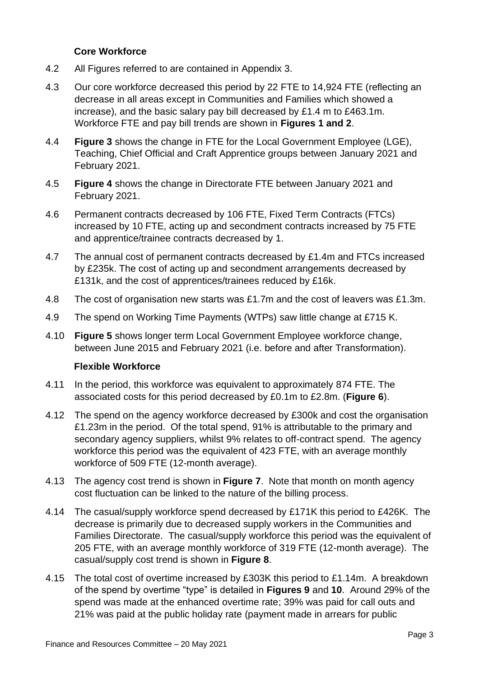## **Core Workforce**

- 4.2 All Figures referred to are contained in Appendix 3.
- 4.3 Our core workforce decreased this period by 22 FTE to 14,924 FTE (reflecting an decrease in all areas except in Communities and Families which showed a increase), and the basic salary pay bill decreased by £1.4 m to £463.1m. Workforce FTE and pay bill trends are shown in **Figures 1 and 2**.
- 4.4 **Figure 3** shows the change in FTE for the Local Government Employee (LGE), Teaching, Chief Official and Craft Apprentice groups between January 2021 and February 2021.
- 4.5 **Figure 4** shows the change in Directorate FTE between January 2021 and February 2021.
- 4.6 Permanent contracts decreased by 106 FTE, Fixed Term Contracts (FTCs) increased by 10 FTE, acting up and secondment contracts increased by 75 FTE and apprentice/trainee contracts decreased by 1.
- 4.7 The annual cost of permanent contracts decreased by £1.4m and FTCs increased by £235k. The cost of acting up and secondment arrangements decreased by £131k, and the cost of apprentices/trainees reduced by £16k.
- 4.8 The cost of organisation new starts was £1.7m and the cost of leavers was £1.3m.
- 4.9 The spend on Working Time Payments (WTPs) saw little change at £715 K.
- 4.10 **Figure 5** shows longer term Local Government Employee workforce change, between June 2015 and February 2021 (i.e. before and after Transformation).

## **Flexible Workforce**

- 4.11 In the period, this workforce was equivalent to approximately 874 FTE. The associated costs for this period decreased by £0.1m to £2.8m. (**Figure 6**).
- 4.12 The spend on the agency workforce decreased by £300k and cost the organisation £1.23m in the period. Of the total spend, 91% is attributable to the primary and secondary agency suppliers, whilst 9% relates to off-contract spend. The agency workforce this period was the equivalent of 423 FTE, with an average monthly workforce of 509 FTE (12-month average).
- 4.13 The agency cost trend is shown in **Figure 7**. Note that month on month agency cost fluctuation can be linked to the nature of the billing process.
- 4.14 The casual/supply workforce spend decreased by £171K this period to £426K. The decrease is primarily due to decreased supply workers in the Communities and Families Directorate. The casual/supply workforce this period was the equivalent of 205 FTE, with an average monthly workforce of 319 FTE (12-month average). The casual/supply cost trend is shown in **Figure 8**.
- 4.15 The total cost of overtime increased by £303K this period to £1.14m. A breakdown of the spend by overtime "type" is detailed in **Figures 9** and **10**. Around 29% of the spend was made at the enhanced overtime rate; 39% was paid for call outs and 21% was paid at the public holiday rate (payment made in arrears for public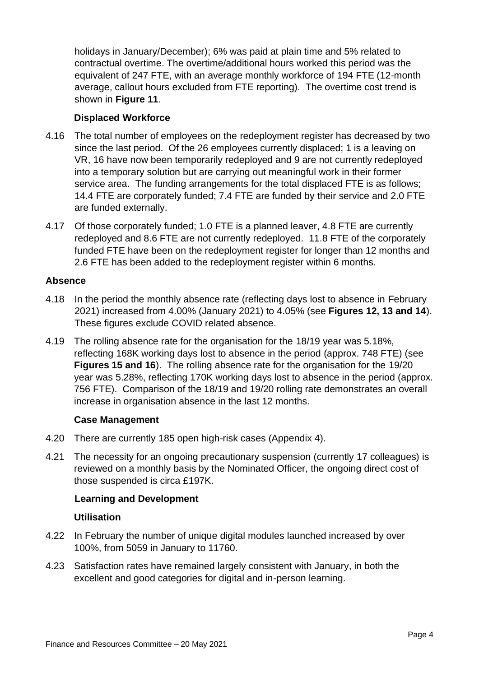holidays in January/December); 6% was paid at plain time and 5% related to contractual overtime. The overtime/additional hours worked this period was the equivalent of 247 FTE, with an average monthly workforce of 194 FTE (12-month average, callout hours excluded from FTE reporting). The overtime cost trend is shown in **Figure 11**.

## **Displaced Workforce**

- 4.16 The total number of employees on the redeployment register has decreased by two since the last period. Of the 26 employees currently displaced; 1 is a leaving on VR, 16 have now been temporarily redeployed and 9 are not currently redeployed into a temporary solution but are carrying out meaningful work in their former service area. The funding arrangements for the total displaced FTE is as follows; 14.4 FTE are corporately funded; 7.4 FTE are funded by their service and 2.0 FTE are funded externally.
- 4.17 Of those corporately funded; 1.0 FTE is a planned leaver, 4.8 FTE are currently redeployed and 8.6 FTE are not currently redeployed. 11.8 FTE of the corporately funded FTE have been on the redeployment register for longer than 12 months and 2.6 FTE has been added to the redeployment register within 6 months.

## **Absence**

- 4.18 In the period the monthly absence rate (reflecting days lost to absence in February 2021) increased from 4.00% (January 2021) to 4.05% (see **Figures 12, 13 and 14**). These figures exclude COVID related absence.
- 4.19 The rolling absence rate for the organisation for the 18/19 year was 5.18%, reflecting 168K working days lost to absence in the period (approx. 748 FTE) (see **Figures 15 and 16**). The rolling absence rate for the organisation for the 19/20 year was 5.28%, reflecting 170K working days lost to absence in the period (approx. 756 FTE). Comparison of the 18/19 and 19/20 rolling rate demonstrates an overall increase in organisation absence in the last 12 months.

## **Case Management**

- 4.20 There are currently 185 open high-risk cases (Appendix 4).
- 4.21 The necessity for an ongoing precautionary suspension (currently 17 colleagues) is reviewed on a monthly basis by the Nominated Officer, the ongoing direct cost of those suspended is circa £197K.

## **Learning and Development**

## **Utilisation**

- 4.22 In February the number of unique digital modules launched increased by over 100%, from 5059 in January to 11760.
- 4.23 Satisfaction rates have remained largely consistent with January, in both the excellent and good categories for digital and in-person learning.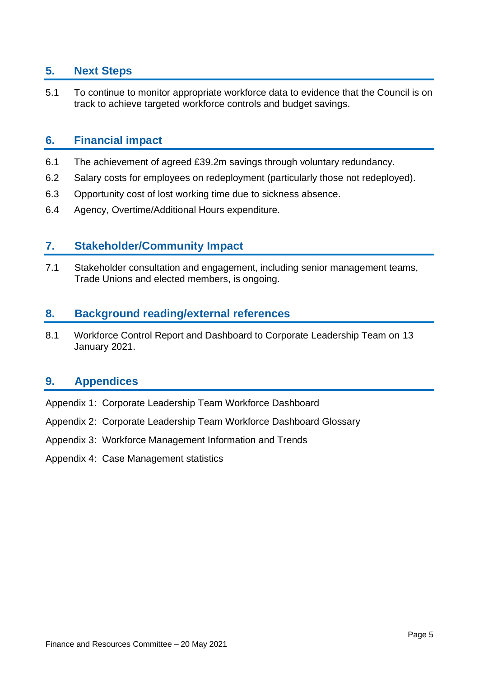# **5. Next Steps**

5.1 To continue to monitor appropriate workforce data to evidence that the Council is on track to achieve targeted workforce controls and budget savings.

# **6. Financial impact**

- 6.1 The achievement of agreed £39.2m savings through voluntary redundancy.
- 6.2 Salary costs for employees on redeployment (particularly those not redeployed).
- 6.3 Opportunity cost of lost working time due to sickness absence.
- 6.4 Agency, Overtime/Additional Hours expenditure.

# **7. Stakeholder/Community Impact**

7.1 Stakeholder consultation and engagement, including senior management teams, Trade Unions and elected members, is ongoing.

# **8. Background reading/external references**

8.1 Workforce Control Report and Dashboard to Corporate Leadership Team on 13 January 2021.

# **9. Appendices**

- Appendix 1: Corporate Leadership Team Workforce Dashboard
- Appendix 2: Corporate Leadership Team Workforce Dashboard Glossary
- Appendix 3: Workforce Management Information and Trends
- Appendix 4: Case Management statistics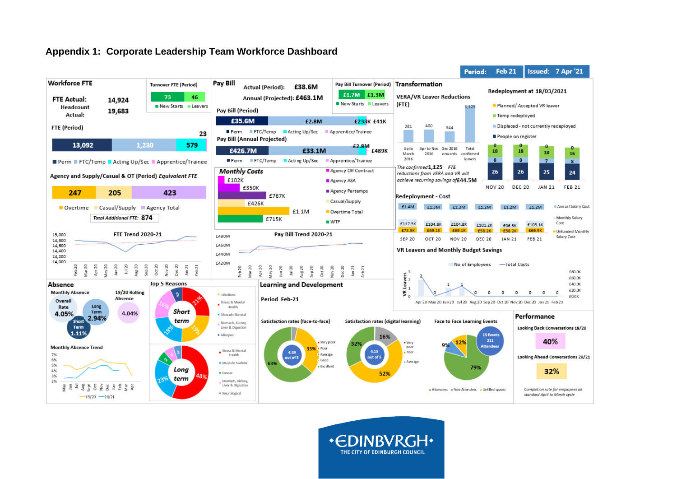## **Appendix 1: Corporate Leadership Team Workforce Dashboard**



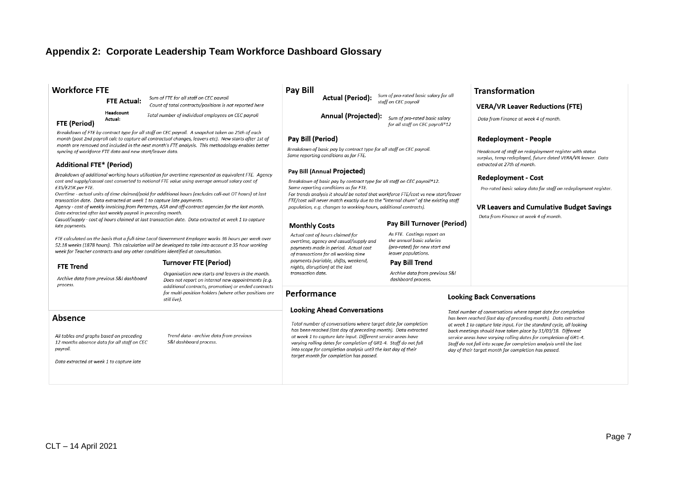# **Appendix 2: Corporate Leadership Team Workforce Dashboard Glossary**

#### **Workforce FTE**

**FTE Actual:** 

Headcount

Actual:

Sum of FTE for all staff on CEC payroll Count of total contracts/positions is not reported here

Total number of individual employees on CEC payroll

#### **FTE (Period)**

Breakdown of FTE by contract type for all staff on CEC payroll. A snapshot taken on 25th of each month (post 2nd payroll calc to capture all contractual changes, leavers etc). New starts after 1st of month are removed and included in the next month's FTE analysis. This methodology enables better syncing of workforce FTE data and new start/leaver data.

#### **Additional FTE\* (Period)**

Breakdown of additional working hours utilisation for overtime represented as equivalent FTE. Agency cost and supply/casual cost converted to notional FTE value using average annual salary cost of £35/£25K per FTE.

Overtime - actual units of time claimed/paid for additional hours (excludes call-out OT hours) at last transaction date. Data extracted at week 1 to capture late payments.

Agency - cost of weekly invoicing from Pertemps, ASA and off-contract agencies for the last month. Data extracted after last weekly payroll in preceding month.

Casual/supply - cost of hours claimed at last transaction date. Data extracted at week 1 to capture late payments.

FTE calculated on the basis that a full-time Local Government Employee works 36 hours per week over 52.18 weeks (1878 hours). This calculation will be developed to take into account a 35 hour working week for Teacher contracts and any other conditions identified at consultation.

#### **Turnover FTE (Period)**

Archive data from previous S&I dashboard process.

Organisation new starts and leavers in the month. Does not report on internal new appointments (e.g. additional contracts, promotion) or ended contracts for multi-position holders (where other positions are still live).

Trend data - archive data from previous

S&I dashboard process.

#### Absence

**FTE Trend** 

All tables and graphs based on preceding 12 months absence data for all staff on CEC payroll.

Data extracted at week 1 to capture late

#### **Pay Bill**

Sum of pro-rated basic salary for all **Actual (Period):** staff on CEC payroll

**Annual (Projected):** Sum of pro-rated basic salary for all staff on CEC payroll\*12

#### Pav Bill (Period)

Breakdown of basic pay by contract type for all staff on CEC payroll. Same reporting conditions as for FTE.

#### Pay Bill (Annual Projected)

Breakdown of basic pay by contract type for all staff on CEC payroll\*12. Same reporting conditions as for FTE.

For trends analysis it should be noted that workforce FTE/cost vs new start/leaver FTE/cost will never match exactly due to the "internal churn" of the existing staff population, e.g. changes to working hours, additional contracts).

#### **Monthly Costs**

Performance

#### **Pay Bill Turnover (Period)**

As FTE. Costings report on the annual basic salaries (pro-rated) for new start and leaver populations.

#### Pav Bill Trend

Archive data from previous S&I dashboard process.

#### **Looking Back Conversations**

Total number of conversations where target date for completion has been reached (last day of preceding month). Data extracted at week 1 to capture late input. For the standard cycle, all looking back meetings should have taken place by 31/03/18. Different service areas have varying rolling dates for completion of GR1-4. Staff do not fall into scope for completion analysis until the last day of their target month for completion has passed.

**Transformation** 

**VERA/VR Leaver Reductions (FTE)** 

Headcount of staff on redeployment reaister with status

surplus, temp redeployed, future dated VERA/VR leaver. Data

Pro-rated basic salary data for staff on redeployment reaister.

**VR Leavers and Cumulative Budget Savings** 

Data from Finance at week 4 of month.

**Redeployment - People** 

extracted at 27th of month.

**Redeployment - Cost** 

Data from Finance at week 4 of month.

Actual cost of hours claimed for overtime, agency and casual/supply and payments made in period. Actual cost of transactions for all working time payments (variable, shifts, weekend, niahts, disruption) at the last transaction date.

**Looking Ahead Conversations** 

target month for completion has passed.

Total number of conversations where target date for completion

has been reached (last day of preceding month). Data extracted

at week 1 to capture late input. Different service areas have

into scope for completion analysis until the last day of their

varying rolling dates for completion of GR1-4. Staff do not fall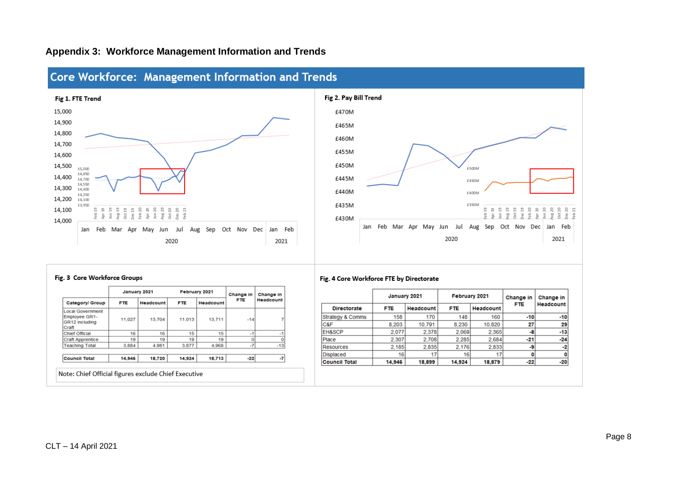

# **Appendix 3: Workforce Management Information and Trends**



#### Fig. 3 Core Workforce Groups

|                                                                     |                                      | January 2021     |            | February 2021    | Change in  | Change in<br>Headcount |  |
|---------------------------------------------------------------------|--------------------------------------|------------------|------------|------------------|------------|------------------------|--|
| Category/ Group                                                     | <b>FTE</b>                           | <b>Headcount</b> | <b>FTE</b> | <b>Headcount</b> | <b>FTE</b> |                        |  |
| <b>Local Government</b><br>Employee GR1-<br>GR12 including<br>Craft | 13,711<br>13,704<br>11,027<br>11,013 |                  | $-14$      |                  |            |                        |  |
| Chief Official                                                      | 16                                   | 16               | 15         | 15               | $-1$       | $-1$                   |  |
| <b>Craft Apprentice</b>                                             | 19                                   | 19               | 19         | 19               |            |                        |  |
| <b>Teaching Total</b>                                               | 3.884                                | 4.981            | 3.877      | 4.968            | $-7$       | $-13$                  |  |
| <b>Council Total</b>                                                | 14,946                               | 18,720           | 14,924     | 18,713           | $-22$      | $-7$                   |  |

#### Fig. 4 Core Workforce FTE by Directorate

|                      | January 2021 |                         |        | <b>February 2021</b> | Change in  | Change in |  |
|----------------------|--------------|-------------------------|--------|----------------------|------------|-----------|--|
| <b>Directorate</b>   | <b>FTE</b>   | <b>FTE</b><br>Headcount |        | Headcount            | <b>FTE</b> | Headcount |  |
| Strategy & Comms     | 158          | 170                     | 148    | 160                  | $-10$      | $-10$     |  |
| C&F                  | 8,203        | 10,791                  | 8,230  | 10,820               | 27         | 29        |  |
| EH&SCP               | 2.077        | 2.378                   | 2.069  | 2.365                | -8         | $-13$     |  |
| Place                | 2,307        | 2.708                   | 2.285  | 2.684                | $-21$      | $-24$     |  |
| Resources            | 2.185        | 2.835                   | 2.176  | 2.833                | -9         | $-2$      |  |
| <b>Displaced</b>     | 16           | 17                      | 16     | 17                   | 0          | 0         |  |
| <b>Council Total</b> | 14,946       | 18,899                  | 14,924 | 18,879               | $-22$      | $-20$     |  |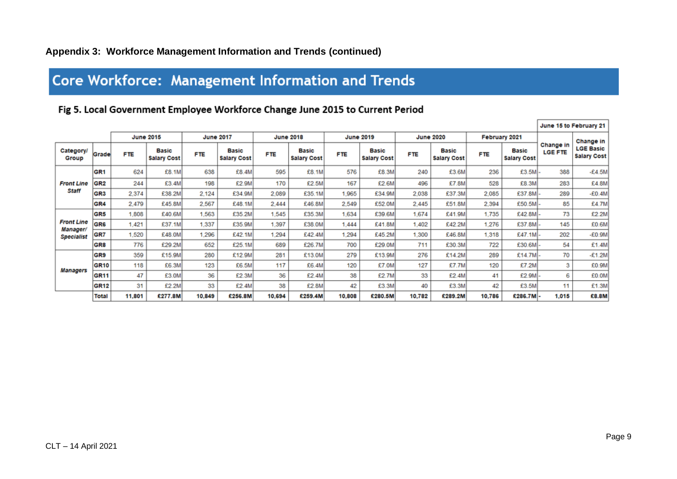# **Core Workforce: Management Information and Trends**

# Fig 5. Local Government Employee Workforce Change June 2015 to Current Period

|                               |                 |            |                                    |            |                                    |            |                                    |            | June 15 to February 21             |            |                                    |            |                             |                             |                                                     |
|-------------------------------|-----------------|------------|------------------------------------|------------|------------------------------------|------------|------------------------------------|------------|------------------------------------|------------|------------------------------------|------------|-----------------------------|-----------------------------|-----------------------------------------------------|
|                               |                 |            | <b>June 2015</b>                   |            | <b>June 2017</b>                   |            | <b>June 2018</b>                   |            | <b>June 2019</b>                   |            | <b>June 2020</b>                   |            | February 2021               |                             |                                                     |
| <b>Category/</b><br>Group     | Grade           | <b>FTE</b> | <b>Basic</b><br><b>Salary Cost</b> | <b>FTE</b> | <b>Basic</b><br><b>Salary Cost</b> | <b>FTE</b> | <b>Basic</b><br><b>Salary Cost</b> | <b>FTE</b> | <b>Basic</b><br><b>Salary Cost</b> | <b>FTE</b> | <b>Basic</b><br><b>Salary Cost</b> | <b>FTE</b> | Basic<br><b>Salary Cost</b> | Change in<br><b>LGE FTE</b> | Change in<br><b>LGE Basic</b><br><b>Salary Cost</b> |
|                               | GR <sub>1</sub> | 624        | £8.1M                              | 638        | £8.4M                              | 595        | £8.1M                              | 576        | £8.3M                              | 240        | £3.6M                              | 236        | £3.5M -                     | 388                         | $-E4.5M$                                            |
| <b>Front Line</b>             | GR <sub>2</sub> | 244        | £3.4M                              | 198        | £2.9M                              | 170        | £2.5M                              | 167        | £2.6M                              | 496        | £7.8M                              | 528        | £8.3M                       | 283                         | £4.8M                                               |
| Staff                         | GR <sub>3</sub> | 2,374      | £38.2M                             | 2.124      | £34.9M                             | 2,089      | £35.1M                             | 1,965      | £34.9M                             | 2,038      | £37.3M                             | 2,085      | £37.8M-                     | 289                         | $-E0.4M$                                            |
|                               | GR4             | 2,479      | £45.8M                             | 2,567      | £48.1M                             | 2,444      | £46.8M                             | 2,549      | £52.0M                             | 2,445      | £51.8M                             | 2,394      | £50.5M-                     | 85                          | £4.7M                                               |
|                               | GR <sub>5</sub> | 1,808      | £40.6M                             | 1,563      | £35.2M                             | 1,545      | £35.3M                             | 1,634      | £39.6M                             | 1,674      | £41.9M                             | 1,735      | £42.8M-                     | 73                          | £2.2M                                               |
| <b>Front Line</b><br>Manager/ | GR <sub>6</sub> | .421       | £37.1M                             | 1.337      | £35.9M                             | 1,397      | £38.0M                             | 1.444      | £41.8M                             | 1,402      | £42.2M                             | 1,276      | £37.8M                      | 145                         | £0.6M                                               |
| <b>Specialist</b>             | GR7             | .520       | £48.0M                             | 1.296      | £42.1M                             | 1.294      | £42.4M                             | 1.294      | £45.2M                             | 1,300      | £46.8M                             | 1.318      | $£47.1M$ -                  | 202                         | $-£0.9M$                                            |
|                               | GR <sub>8</sub> | 776        | £29.2M                             | 652        | £25.1M                             | 689        | £26.7M                             | 700        | £29.0M                             | 711        | £30.3M                             | 722        | £30.6M                      | 54                          | £1.4M                                               |
|                               | GR <sub>9</sub> | 359        | £15.9M                             | 280        | £12.9M                             | 281        | £13.0M                             | 279        | £13.9M                             | 276        | £14.2M                             | 289        | £14.7M-                     | 70                          | $-E1.2M$                                            |
| Managers                      | <b>GR10</b>     | 118        | £6.3M                              | 123        | £6.5M                              | 117        | £6.4M                              | 120        | £7.0M                              | 127        | £7.7M                              | 120        | £7.2M                       | 3                           | £0.9M                                               |
|                               | <b>GR11</b>     | 47         | £3.0M                              | 36         | £2.3M                              | 36         | £2.4M                              | 38         | £2.7M                              | 33         | £2.4M                              | 41         | £2.9M -                     | 6                           | £0.0M                                               |
|                               | <b>GR12</b>     | 31         | £2.2M                              | 33         | £2.4M                              | 38         | £2.8M                              | 42         | £3.3M                              | 40         | £3.3M                              | 42         | £3.5M                       | 11                          | £1.3M                                               |
|                               | <b>Total</b>    | 11,801     | £277.8M                            | 10,849     | £256.8M                            | 10,694     | £259.4M                            | 10,808     | £280.5M                            | 10,782     | £289.2M                            | 10,786     | £286.7M-                    | 1,015                       | £8.8M                                               |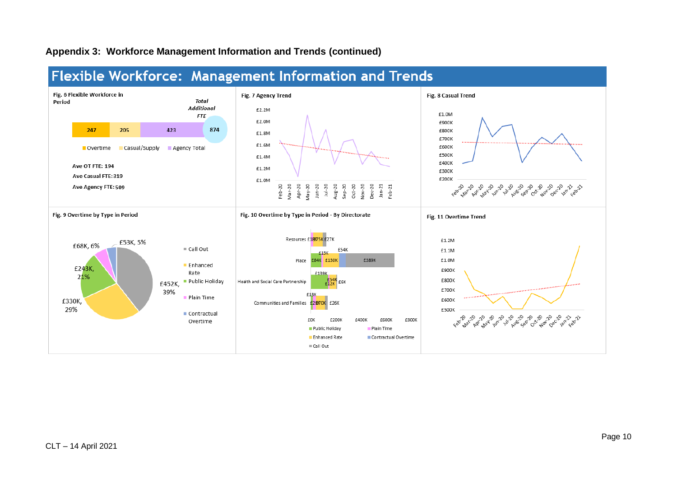## **Appendix 3: Workforce Management Information and Trends (continued)**



# Flexible Workforce: Management Information and Trends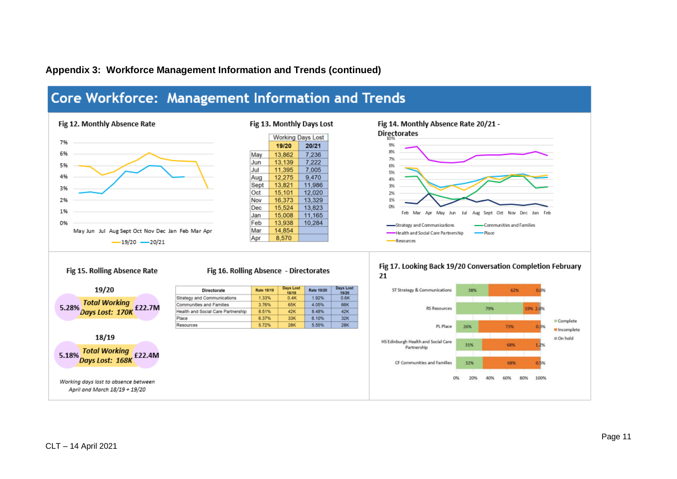# **Appendix 3: Workforce Management Information and Trends (continued)**